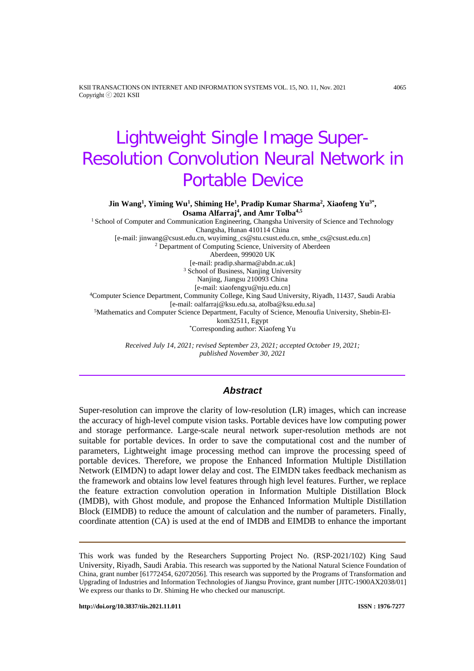KSII TRANSACTIONS ON INTERNET AND INFORMATION SYSTEMS VOL. 15, NO. 11, Nov. 2021 4065 Copyright ⓒ 2021 KSII

# Lightweight Single Image Super-Resolution Convolution Neural Network in Portable Device

**Jin Wang1 , Yiming Wu1 , Shiming He1 , Pradip Kumar Sharma2 , Xiaofeng Yu3\* , Osama Alfarraj4 , and Amr Tolba4,5**

<sup>1</sup> School of Computer and Communication Engineering, Changsha University of Science and Technology Changsha, Hunan 410114 China [e-mail: jinwang@csust.edu.cn, wuyiming\_cs@stu.csust.edu.cn, smhe\_cs@csust.edu.cn] <sup>2</sup> Department of Computing Science, University of Aberdeen Aberdeen, 999020 UK [e-mail: pradip.sharma@abdn.ac.uk] <sup>3</sup> School of Business, Nanjing University Nanjing, Jiangsu 210093 China [e-mail: xiaofengyu@nju.edu.cn] 4Computer Science Department, Community College, King Saud University, Riyadh, 11437, Saudi Arabia [e-mail[: oalfarraj@ksu.edu.sa,](mailto:oalfarraj@ksu.edu.sa,) atolba@ksu.edu.sa] 5Mathematics and Computer Science Department, Faculty of Science, Menoufia University, Shebin-Elkom32511, Egypt \*Corresponding author: Xiaofeng Yu

> *Received July 14, 2021; revised September 23, 2021; accepted October 19, 2021; published November 30, 2021*

## *Abstract*

Super-resolution can improve the clarity of low-resolution (LR) images, which can increase the accuracy of high-level compute vision tasks. Portable devices have low computing power and storage performance. Large-scale neural network super-resolution methods are not suitable for portable devices. In order to save the computational cost and the number of parameters, Lightweight image processing method can improve the processing speed of portable devices. Therefore, we propose the Enhanced Information Multiple Distillation Network (EIMDN) to adapt lower delay and cost. The EIMDN takes feedback mechanism as the framework and obtains low level features through high level features. Further, we replace the feature extraction convolution operation in Information Multiple Distillation Block (IMDB), with Ghost module, and propose the Enhanced Information Multiple Distillation Block (EIMDB) to reduce the amount of calculation and the number of parameters. Finally, coordinate attention (CA) is used at the end of IMDB and EIMDB to enhance the important

This work was funded by the Researchers Supporting Project No. (RSP‐2021/102) King Saud University, Riyadh, Saudi Arabia. This research was supported by the National Natural Science Foundation of China, grant number [61772454, 62072056]. This research was supported by the Programs of Transformation and Upgrading of Industries and Information Technologies of Jiangsu Province, grant number [JITC-1900AX2038/01] We express our thanks to Dr. Shiming He who checked our manuscript.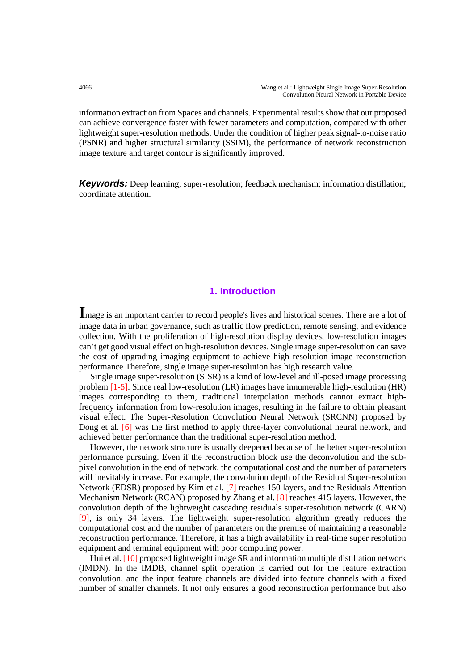information extraction from Spaces and channels. Experimental results show that our proposed can achieve convergence faster with fewer parameters and computation, compared with other lightweight super-resolution methods. Under the condition of higher peak signal-to-noise ratio (PSNR) and higher structural similarity (SSIM), the performance of network reconstruction image texture and target contour is significantly improved.

*Keywords:* Deep learning; super-resolution; feedback mechanism; information distillation; coordinate attention.

## **1. Introduction**

**I**mage is an important carrier to record people's lives and historical scenes. There are a lot of image data in urban governance, such as traffic flow prediction, remote sensing, and evidence collection. With the proliferation of high-resolution display devices, low-resolution images can't get good visual effect on high-resolution devices. Single image super-resolution can save the cost of upgrading imaging equipment to achieve high resolution image reconstruction performance Therefore, single image super-resolution has high research value.

Single image super-resolution (SISR) is a kind of low-level and ill-posed image processing problem [1-5]. Since real low-resolution (LR) images have innumerable high-resolution (HR) images corresponding to them, traditional interpolation methods cannot extract highfrequency information from low-resolution images, resulting in the failure to obtain pleasant visual effect. The Super-Resolution Convolution Neural Network (SRCNN) proposed by Dong et al. [6] was the first method to apply three-layer convolutional neural network, and achieved better performance than the traditional super-resolution method.

However, the network structure is usually deepened because of the better super-resolution performance pursuing. Even if the reconstruction block use the deconvolution and the subpixel convolution in the end of network, the computational cost and the number of parameters will inevitably increase. For example, the convolution depth of the Residual Super-resolution Network (EDSR) proposed by Kim et al. [7] reaches 150 layers, and the Residuals Attention Mechanism Network (RCAN) proposed by Zhang et al. [8] reaches 415 layers. However, the convolution depth of the lightweight cascading residuals super-resolution network (CARN) [9], is only 34 layers. The lightweight super-resolution algorithm greatly reduces the computational cost and the number of parameters on the premise of maintaining a reasonable reconstruction performance. Therefore, it has a high availability in real-time super resolution equipment and terminal equipment with poor computing power.

Hui et al. [10] proposed lightweight image SR and information multiple distillation network (IMDN). In the IMDB, channel split operation is carried out for the feature extraction convolution, and the input feature channels are divided into feature channels with a fixed number of smaller channels. It not only ensures a good reconstruction performance but also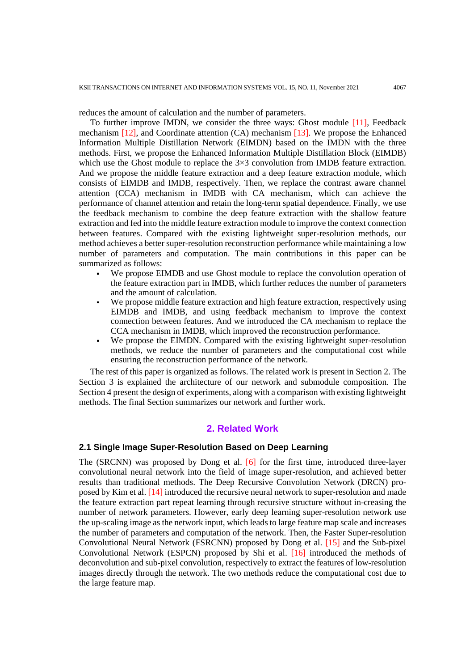reduces the amount of calculation and the number of parameters.

To further improve IMDN, we consider the three ways: Ghost module [11], Feedback mechanism [12], and Coordinate attention (CA) mechanism [13]. We propose the Enhanced Information Multiple Distillation Network (EIMDN) based on the IMDN with the three methods. First, we propose the Enhanced Information Multiple Distillation Block (EIMDB) which use the Ghost module to replace the  $3\times3$  convolution from IMDB feature extraction. And we propose the middle feature extraction and a deep feature extraction module, which consists of EIMDB and IMDB, respectively. Then, we replace the contrast aware channel attention (CCA) mechanism in IMDB with CA mechanism, which can achieve the performance of channel attention and retain the long-term spatial dependence. Finally, we use the feedback mechanism to combine the deep feature extraction with the shallow feature extraction and fed into the middle feature extraction module to improve the context connection between features. Compared with the existing lightweight super-resolution methods, our method achieves a better super-resolution reconstruction performance while maintaining a low number of parameters and computation. The main contributions in this paper can be summarized as follows:

- We propose EIMDB and use Ghost module to replace the convolution operation of the feature extraction part in IMDB, which further reduces the number of parameters and the amount of calculation.
- We propose middle feature extraction and high feature extraction, respectively using EIMDB and IMDB, and using feedback mechanism to improve the context connection between features. And we introduced the CA mechanism to replace the CCA mechanism in IMDB, which improved the reconstruction performance.
- We propose the EIMDN. Compared with the existing lightweight super-resolution methods, we reduce the number of parameters and the computational cost while ensuring the reconstruction performance of the network.

The rest of this paper is organized as follows. The related work is present in Section 2. The Section 3 is explained the architecture of our network and submodule composition. The Section 4 present the design of experiments, along with a comparison with existing lightweight methods. The final Section summarizes our network and further work.

## **2. Related Work**

#### **2.1 Single Image Super-Resolution Based on Deep Learning**

The (SRCNN) was proposed by Dong et al. [6] for the first time, introduced three-layer convolutional neural network into the field of image super-resolution, and achieved better results than traditional methods. The Deep Recursive Convolution Network (DRCN) proposed by Kim et al. [14] introduced the recursive neural network to super-resolution and made the feature extraction part repeat learning through recursive structure without in-creasing the number of network parameters. However, early deep learning super-resolution network use the up-scaling image as the network input, which leads to large feature map scale and increases the number of parameters and computation of the network. Then, the Faster Super-resolution Convolutional Neural Network (FSRCNN) proposed by Dong et al. [15] and the Sub-pixel Convolutional Network (ESPCN) proposed by Shi et al. [16] introduced the methods of deconvolution and sub-pixel convolution, respectively to extract the features of low-resolution images directly through the network. The two methods reduce the computational cost due to the large feature map.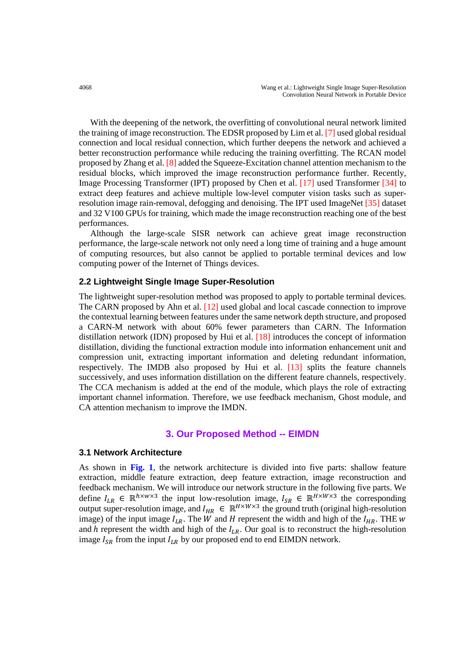With the deepening of the network, the overfitting of convolutional neural network limited the training of image reconstruction. The EDSR proposed by Lim et al. [7] used global residual connection and local residual connection, which further deepens the network and achieved a better reconstruction performance while reducing the training overfitting. The RCAN model proposed by Zhang et al. [8] added the Squeeze-Excitation channel attention mechanism to the residual blocks, which improved the image reconstruction performance further. Recently, Image Processing Transformer (IPT) proposed by Chen et al. [17] used Transformer [34] to extract deep features and achieve multiple low-level computer vision tasks such as superresolution image rain-removal, defogging and denoising. The IPT used ImageNet [35] dataset and 32 V100 GPUs for training, which made the image reconstruction reaching one of the best performances.

Although the large-scale SISR network can achieve great image reconstruction performance, the large-scale network not only need a long time of training and a huge amount of computing resources, but also cannot be applied to portable terminal devices and low computing power of the Internet of Things devices.

## **2.2 Lightweight Single Image Super-Resolution**

The lightweight super-resolution method was proposed to apply to portable terminal devices. The CARN proposed by Ahn et al. [12] used global and local cascade connection to improve the contextual learning between features under the same network depth structure, and proposed a CARN-M network with about 60% fewer parameters than CARN. The Information distillation network (IDN) proposed by Hui et al. [18] introduces the concept of information distillation, dividing the functional extraction module into information enhancement unit and compression unit, extracting important information and deleting redundant information, respectively. The IMDB also proposed by Hui et al. [13] splits the feature channels successively, and uses information distillation on the different feature channels, respectively. The CCA mechanism is added at the end of the module, which plays the role of extracting important channel information. Therefore, we use feedback mechanism, Ghost module, and CA attention mechanism to improve the IMDN.

## **3. Our Proposed Method -- EIMDN**

#### **3.1 Network Architecture**

As shown in **Fig. 1**, the network architecture is divided into five parts: shallow feature extraction, middle feature extraction, deep feature extraction, image reconstruction and feedback mechanism. We will introduce our network structure in the following five parts. We define  $I_{LR} \in \mathbb{R}^{h \times w \times 3}$  the input low-resolution image,  $I_{SR} \in \mathbb{R}^{H \times w \times 3}$  the corresponding output super-resolution image, and  $I_{HR} \in \mathbb{R}^{H \times W \times 3}$  the ground truth (original high-resolution image) of the input image  $I_{LR}$ . The W and H represent the width and high of the  $I_{HR}$ . THE w and  $h$  represent the width and high of the  $I_{LR}$ . Our goal is to reconstruct the high-resolution image  $I_{SR}$  from the input  $I_{LR}$  by our proposed end to end EIMDN network.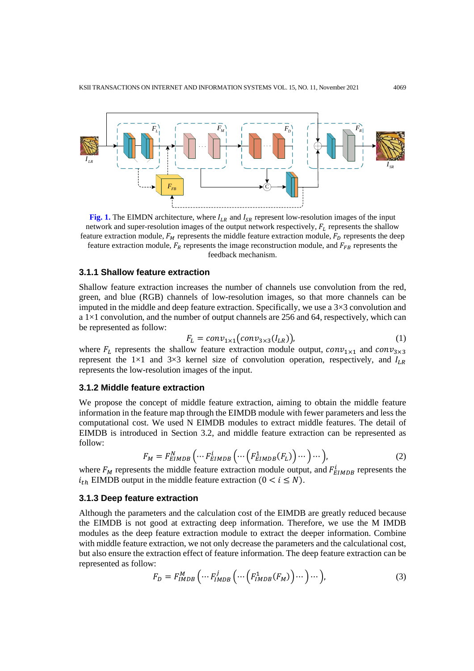

**Fig. 1.** The EIMDN architecture, where  $I_{LR}$  and  $I_{SR}$  represent low-resolution images of the input network and super-resolution images of the output network respectively,  $F<sub>L</sub>$  represents the shallow feature extraction module,  $F_M$  represents the middle feature extraction module,  $F_D$  represents the deep feature extraction module,  $F_R$  represents the image reconstruction module, and  $F_{FB}$  represents the feedback mechanism.

#### **3.1.1 Shallow feature extraction**

Shallow feature extraction increases the number of channels use convolution from the red, green, and blue (RGB) channels of low-resolution images, so that more channels can be imputed in the middle and deep feature extraction. Specifically, we use a  $3\times3$  convolution and a  $1\times1$  convolution, and the number of output channels are 256 and 64, respectively, which can be represented as follow:

$$
F_L = conv_{1 \times 1}(conv_{3 \times 3}(I_{LR})), \tag{1}
$$

where  $F_L$  represents the shallow feature extraction module output,  $conv_{1\times 1}$  and  $conv_{3\times 3}$ represent the 1×1 and 3×3 kernel size of convolution operation, respectively, and  $I_{LR}$ represents the low-resolution images of the input.

#### **3.1.2 Middle feature extraction**

We propose the concept of middle feature extraction, aiming to obtain the middle feature information in the feature map through the EIMDB module with fewer parameters and less the computational cost. We used N EIMDB modules to extract middle features. The detail of EIMDB is introduced in Section 3.2, and middle feature extraction can be represented as follow:

$$
F_M = F_{EIMDB}^N \left( \cdots F_{EIMDB}^i \left( \cdots \left( F_{EIMDB}^1(F_L) \right) \cdots \right) \cdots \right), \tag{2}
$$

where  $F_M$  represents the middle feature extraction module output, and  $F_{EIMDB}^l$  represents the  $i_{th}$  EIMDB output in the middle feature extraction ( $0 < i \leq N$ ).

#### **3.1.3 Deep feature extraction**

Although the parameters and the calculation cost of the EIMDB are greatly reduced because the EIMDB is not good at extracting deep information. Therefore, we use the M IMDB modules as the deep feature extraction module to extract the deeper information. Combine with middle feature extraction, we not only decrease the parameters and the calculational cost, but also ensure the extraction effect of feature information. The deep feature extraction can be represented as follow:

$$
F_D = F_{IMDB}^M \left( \cdots F_{IMDB}^j \left( \cdots \left( F_{IMDB}^1(F_M) \right) \cdots \right) \cdots \right),\tag{3}
$$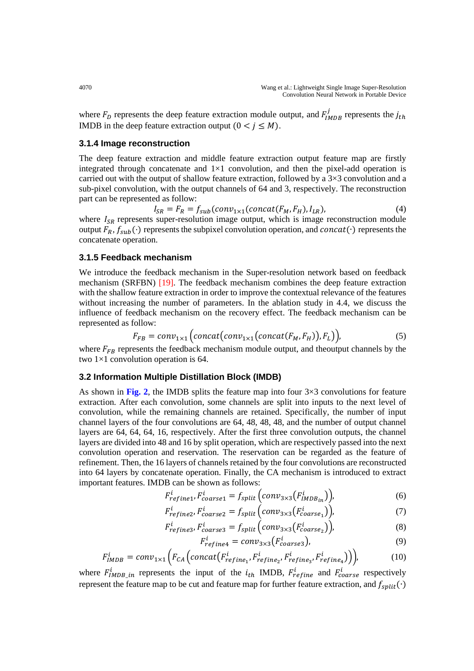where  $F_D$  represents the deep feature extraction module output, and  $F_{IMDB}^J$  represents the  $j_{th}$ IMDB in the deep feature extraction output  $(0 < j \le M)$ .

## **3.1.4 Image reconstruction**

The deep feature extraction and middle feature extraction output feature map are firstly integrated through concatenate and  $1\times1$  convolution, and then the pixel-add operation is carried out with the output of shallow feature extraction, followed by a 3×3 convolution and a sub-pixel convolution, with the output channels of 64 and 3, respectively. The reconstruction part can be represented as follow:

$$
I_{SR} = F_R = f_{sub}(conv_{1 \times 1}(concat(F_M, F_H), I_{LR}),
$$
 (4)  
where  $I_{SR}$  represents super-resolution image output, which is image reconstruction module  
output  $F_R$ ,  $f_{sub}(\cdot)$  represents the subpixel convolution operation, and  $concat(\cdot)$  represents the  
concatenate operation.

## **3.1.5 Feedback mechanism**

We introduce the feedback mechanism in the Super-resolution network based on feedback mechanism (SRFBN) [19]. The feedback mechanism combines the deep feature extraction with the shallow feature extraction in order to improve the contextual relevance of the features without increasing the number of parameters. In the ablation study in 4.4, we discuss the influence of feedback mechanism on the recovery effect. The feedback mechanism can be represented as follow:

$$
F_{FB} = conv_{1\times 1} \Big( concatconv_{1\times 1}(concat(F_M, F_H)), F_L) \Big), \tag{5}
$$

where  $F_{FB}$  represents the feedback mechanism module output, and theoutput channels by the two 1×1 convolution operation is 64.

## **3.2 Information Multiple Distillation Block (IMDB)**

As shown in Fig. 2, the IMDB splits the feature map into four  $3\times3$  convolutions for feature extraction. After each convolution, some channels are split into inputs to the next level of convolution, while the remaining channels are retained. Specifically, the number of input channel layers of the four convolutions are 64, 48, 48, 48, and the number of output channel layers are 64, 64, 64, 16, respectively. After the first three convolution outputs, the channel layers are divided into 48 and 16 by split operation, which are respectively passed into the next convolution operation and reservation. The reservation can be regarded as the feature of refinement. Then, the 16 layers of channels retained by the four convolutions are reconstructed into 64 layers by concatenate operation. Finally, the CA mechanism is introduced to extract important features. IMDB can be shown as follows:

$$
F_{refine1}^i, F_{coarse1}^i = f_{split} (conv_{3\times 3}(F_{IMDB_{in}}^i)),
$$
\n(6)

$$
F_{refine2}^i, F_{coarse2}^i = f_{split} (conv_{3\times 3}(F_{coarse_1}^i)),
$$
\n(7)

$$
F_{refines}^i, F_{coarse3}^i = f_{split} (conv_{3 \times 3} (F_{coarse_2}^i)),
$$
\n(8)

$$
F_{refine4}^i = conv_{3 \times 3}^i(F_{coarse3}^i),
$$
\n(9)

$$
F_{IMDB}^i = conv_{1\times1}\Big(F_{CA}\Big(concat(F_{refine_1}^i, F_{refine_2}^i, F_{refine_3}^i, F_{refine_4}^i)\Big)\Big),\tag{10}
$$

where  $F_{IMDB_in}^l$  represents the input of the  $i_{th}$  IMDB,  $F_{refine}^l$  and  $F_{coarse}^l$  respectively represent the feature map to be cut and feature map for further feature extraction, and  $f_{split}(\cdot)$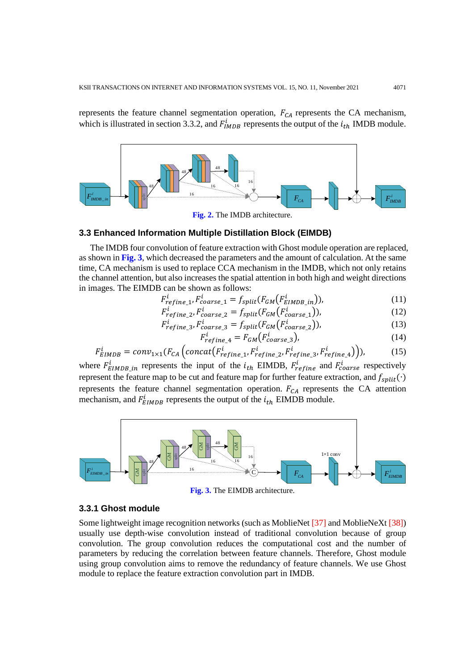represents the feature channel segmentation operation,  $F_{CA}$  represents the CA mechanism, which is illustrated in section 3.3.2, and  $F_{IMDB}^i$  represents the output of the  $i_{th}$  IMDB module.



**Fig. 2.** The IMDB architecture.

## **3.3 Enhanced Information Multiple Distillation Block (EIMDB)**

The IMDB four convolution of feature extraction with Ghost module operation are replaced, as shown in **Fig. 3**, which decreased the parameters and the amount of calculation. At the same time, CA mechanism is used to replace CCA mechanism in the IMDB, which not only retains the channel attention, but also increases the spatial attention in both high and weight directions in images. The EIMDB can be shown as follows:

$$
F_{refine\_1}^l, F_{coarse\_1}^l = f_{split}(F_{GM}(F_{EIMDB\_in}^l)),
$$
\n(11)

$$
F_{refine\_2}^i, F_{coarse\_2}^i = f_{split}(F_{GM}(F_{coarse\_1}^i)),
$$
\n(12)

$$
F_{refine_3}^i, F_{coarse_3}^i = f_{split}(F_{GM}(F_{coarse_2}^i)),
$$
\n(13)

$$
F_{refine\_4}^i = F_{GM}(F_{coarse\_3}^i),
$$
\n(14)

$$
F_{EIMDB}^i = conv_{1\times 1}(F_{CA}^i \left( concat(F_{refine_1}^i, F_{refine_2}^i, F_{refine_3}^i, F_{refine_4}^i)\right)),
$$
\n(15)

where  $F_{EIMDB\_in}^l$  represents the input of the  $i_{th}$  EIMDB,  $F_{refine}^l$  and  $F_{coarse}^l$  respectively represent the feature map to be cut and feature map for further feature extraction, and  $f_{split}(\cdot)$ represents the feature channel segmentation operation.  $F_{CA}$  represents the CA attention mechanism, and  $F_{EIMDB}^l$  represents the output of the  $i_{th}$  EIMDB module.



**Fig. 3.** The EIMDB architecture.

#### **3.3.1 Ghost module**

Some lightweight image recognition networks (such as MoblieNet [37] and MoblieNeXt [38]) usually use depth-wise convolution instead of traditional convolution because of group convolution. The group convolution reduces the computational cost and the number of parameters by reducing the correlation between feature channels. Therefore, Ghost module using group convolution aims to remove the redundancy of feature channels. We use Ghost module to replace the feature extraction convolution part in IMDB.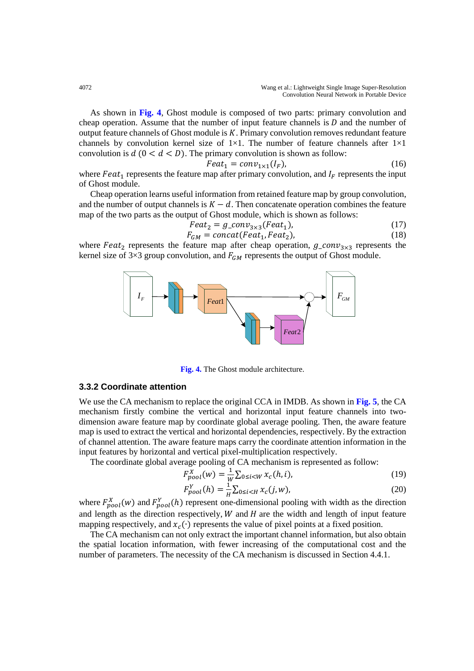As shown in **Fig. 4**, Ghost module is composed of two parts: primary convolution and cheap operation. Assume that the number of input feature channels is  $D$  and the number of output feature channels of Ghost module is  $K$ . Primary convolution removes redundant feature channels by convolution kernel size of  $1\times1$ . The number of feature channels after  $1\times1$ convolution is  $d$  ( $0 < d < D$ ). The primary convolution is shown as follow:

$$
Feat_1 = conv_{1\times 1}(I_F),\tag{16}
$$

where  $Feat_1$  represents the feature map after primary convolution, and  $I_F$  represents the input of Ghost module.

Cheap operation learns useful information from retained feature map by group convolution, and the number of output channels is  $K - d$ . Then concatenate operation combines the feature map of the two parts as the output of Ghost module, which is shown as follows:

$$
Feat_2 = g\_{conv3 \times 3}(Feat_1),\tag{17}
$$

$$
F_{GM} = concat(Feat_1, Feat_2),
$$
\n(18)

where  $Feat_2$  represents the feature map after cheap operation,  $g_{1}conv_{3\times 3}$  represents the kernel size of 3×3 group convolution, and  $F_{GM}$  represents the output of Ghost module.



**Fig. 4.** The Ghost module architecture.

#### **3.3.2 Coordinate attention**

We use the CA mechanism to replace the original CCA in IMDB. As shown in **Fig. 5**, the CA mechanism firstly combine the vertical and horizontal input feature channels into twodimension aware feature map by coordinate global average pooling. Then, the aware feature map is used to extract the vertical and horizontal dependencies, respectively. By the extraction of channel attention. The aware feature maps carry the coordinate attention information in the input features by horizontal and vertical pixel-multiplication respectively.

The coordinate global average pooling of CA mechanism is represented as follow:

$$
F_{pool}^{X}(w) = \frac{1}{w} \sum_{0 \le i < W} x_c(h, i),\tag{19}
$$

$$
F_{pool}^{Y}(h) = \frac{1}{H} \sum_{0 \le i < H} x_c(j, w),\tag{20}
$$

where  $F_{pool}^{X}(w)$  and  $F_{pool}^{Y}(h)$  represent one-dimensional pooling with width as the direction and length as the direction respectively,  $W$  and  $H$  are the width and length of input feature mapping respectively, and  $x_c(\cdot)$  represents the value of pixel points at a fixed position.

The CA mechanism can not only extract the important channel information, but also obtain the spatial location information, with fewer increasing of the computational cost and the number of parameters. The necessity of the CA mechanism is discussed in Section 4.4.1.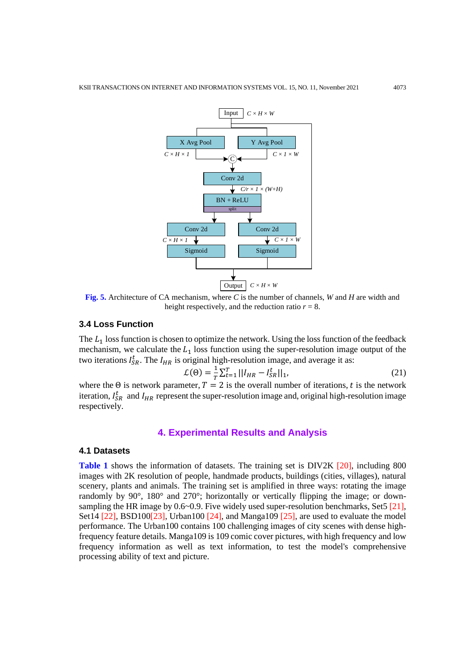

**Fig. 5.** Architecture of CA mechanism, where *C* is the number of channels, *W* and *H* are width and height respectively, and the reduction ratio  $r = 8$ .

## **3.4 Loss Function**

The  $L_1$  loss function is chosen to optimize the network. Using the loss function of the feedback mechanism, we calculate the  $L_1$  loss function using the super-resolution image output of the two iterations  $I_{SR}^{\mathcal{L}}$ . The  $I_{HR}$  is original high-resolution image, and average it as:

$$
\mathcal{L}(\Theta) = \frac{1}{T} \sum_{t=1}^{T} ||I_{HR} - I_{SR}^{t}||_1,
$$
\n(21)

where the  $\Theta$  is network parameter,  $T = 2$  is the overall number of iterations, t is the network iteration,  $I_{SR}^t$  and  $I_{HR}$  represent the super-resolution image and, original high-resolution image respectively.

## **4. Experimental Results and Analysis**

## **4.1 Datasets**

Table 1 shows the information of datasets. The training set is DIV2K [20], including 800 images with 2K resolution of people, handmade products, buildings (cities, villages), natural scenery, plants and animals. The training set is amplified in three ways: rotating the image randomly by 90°, 180° and 270°; horizontally or vertically flipping the image; or downsampling the HR image by  $0.6~0.9$ . Five widely used super-resolution benchmarks, Set5 [21], Set14  $[22]$ , BSD100 $[23]$ , Urban100  $[24]$ , and Manga109  $[25]$ , are used to evaluate the model performance. The Urban100 contains 100 challenging images of city scenes with dense highfrequency feature details. Manga109 is 109 comic cover pictures, with high frequency and low frequency information as well as text information, to test the model's comprehensive processing ability of text and picture.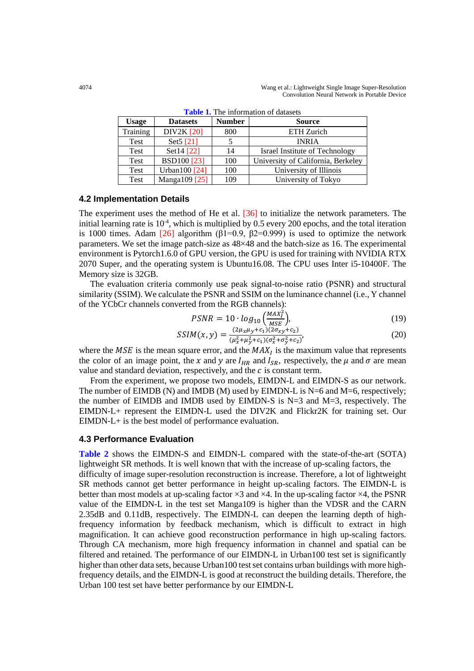| <b>Usage</b> | <b>Datasets</b>      | <b>Number</b> | <b>Source</b>                         |
|--------------|----------------------|---------------|---------------------------------------|
| Training     | <b>DIV2K</b> [20]    | 800           | ETH Zurich                            |
| Test         | Set5 <sup>[21]</sup> |               | <b>INRIA</b>                          |
| Test         | Set14 [22]           | 14            | <b>Israel Institute of Technology</b> |
| <b>Test</b>  | <b>BSD100</b> [23]   | 100           | University of California, Berkeley    |
| Test         | Urban100 [24]        | 100           | University of Illinois                |
| Test         | Manga109 [25]        | 109           | University of Tokyo                   |

**Table 1.** The information of datasets

#### **4.2 Implementation Details**

The experiment uses the method of He et al. [36] to initialize the network parameters. The initial learning rate is  $10<sup>-4</sup>$ , which is multiplied by 0.5 every 200 epochs, and the total iteration is 1000 times. Adam [26] algorithm ( $\beta$ 1=0.9,  $\beta$ 2=0.999) is used to optimize the network parameters. We set the image patch-size as 48×48 and the batch-size as 16. The experimental environment is Pytorch1.6.0 of GPU version, the GPU is used for training with NVIDIA RTX 2070 Super, and the operating system is Ubuntu16.08. The CPU uses Inter i5-10400F. The Memory size is 32GB.

The evaluation criteria commonly use peak signal-to-noise ratio (PSNR) and structural similarity (SSIM). We calculate the PSNR and SSIM on the luminance channel (i.e., Y channel of the YCbCr channels converted from the RGB channels):

$$
PSNR = 10 \cdot log_{10} \left( \frac{MAX_i^2}{MSE} \right),\tag{19}
$$

$$
SSIM(x, y) = \frac{(2\mu_x \mu_y + c_1)(2\sigma_{xy} + c_2)}{(\mu_x^2 + \mu_y^2 + c_1)(\sigma_x^2 + \sigma_y^2 + c_2)},
$$
\n(20)

where the  $MSE$  is the mean square error, and the  $MAX<sub>I</sub>$  is the maximum value that represents the color of an image point, the x and y are  $I_{HR}$  and  $I_{SR}$ , respectively, the  $\mu$  and  $\sigma$  are mean value and standard deviation, respectively, and the  $c$  is constant term.

From the experiment, we propose two models, EIMDN-L and EIMDN-S as our network. The number of EIMDB (N) and IMDB (M) used by EIMDN-L is  $N=6$  and  $M=6$ , respectively; the number of EIMDB and IMDB used by EIMDN-S is N=3 and M=3, respectively. The EIMDN-L+ represent the EIMDN-L used the DIV2K and Flickr2K for training set. Our EIMDN-L+ is the best model of performance evaluation.

#### **4.3 Performance Evaluation**

**Table 2** shows the EIMDN-S and EIMDN-L compared with the state-of-the-art (SOTA) lightweight SR methods. It is well known that with the increase of up-scaling factors, the difficulty of image super-resolution reconstruction is increase. Therefore, a lot of lightweight SR methods cannot get better performance in height up-scaling factors. The EIMDN-L is better than most models at up-scaling factor  $\times$ 3 and  $\times$ 4. In the up-scaling factor  $\times$ 4, the PSNR value of the EIMDN-L in the test set Manga109 is higher than the VDSR and the CARN 2.35dB and 0.11dB, respectively. The EIMDN-L can deepen the learning depth of highfrequency information by feedback mechanism, which is difficult to extract in high magnification. It can achieve good reconstruction performance in high up-scaling factors. Through CA mechanism, more high frequency information in channel and spatial can be filtered and retained. The performance of our EIMDN-L in Urban100 test set is significantly higher than other data sets, because Urban100 test set contains urban buildings with more highfrequency details, and the EIMDN-L is good at reconstruct the building details. Therefore, the Urban 100 test set have better performance by our EIMDN-L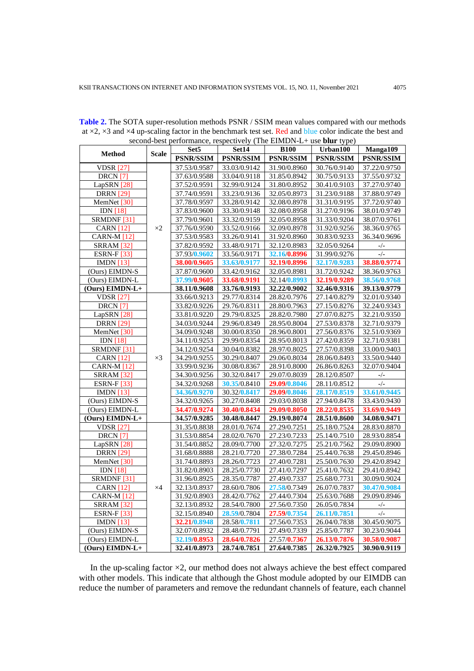|                            |              | Set <sub>5</sub> | Set14            | <b>B100</b>      | Urban100         | Manga109     |  |
|----------------------------|--------------|------------------|------------------|------------------|------------------|--------------|--|
| <b>Method</b>              | <b>Scale</b> | <b>PSNR/SSIM</b> | <b>PSNR/SSIM</b> | <b>PSNR/SSIM</b> | <b>PSNR/SSIM</b> | PSNR/SSIM    |  |
| <b>VDSR</b> [27]           |              | 37.53/0.9587     | 33.03/0.9142     | 31.90/0.8960     | 30.76/0.9140     | 37.22/0.9750 |  |
| DRCN <sub>[7]</sub>        |              | 37.63/0.9588     | 33.04/0.9118     | 31.85/0.8942     | 30.75/0.9133     | 37.55/0.9732 |  |
| LapSRN [28]                |              | 37.52/0.9591     | 32.99/0.9124     | 31.80/0.8952     | 30.41/0.9103     | 37.27/0.9740 |  |
| <b>DRRN</b> [29]           |              | 37.74/0.9591     | 33.23/0.9136     | 32.05/0.8973     | 31.23/0.9188     | 37.88/0.9749 |  |
| MemNet [30]                |              | 37.78/0.9597     | 33.28/0.9142     | 32.08/0.8978     | 31.31/0.9195     | 37.72/0.9740 |  |
| $\overline{IDN}$ [18]      |              | 37.83/0.9600     | 33.30/0.9148     | 32.08/0.8958     | 31.27/0.9196     | 38.01/0.9749 |  |
| SRMDNF [31]                |              | 37.79/0.9601     | 33.32/0.9159     | 32.05/0.8958     | 31.33/0.9204     | 38.07/0.9761 |  |
| <b>CARN</b> [12]           | $\times 2$   | 37.76/0.9590     | 33.52/0.9166     | 32.09/0.8978     | 31.92/0.9256     | 38.36/0.9765 |  |
| <b>CARN-M</b> [12]         |              | 37.53/0.9583     | 33.26/0.9141     | 31.92/0.8960     | 30.83/0.9233     | 36.34/0.9696 |  |
| <b>SRRAM [32]</b>          |              | 37.82/0.9592     | 33.48/0.9171     | 32.12/0.8983     | 32.05/0.9264     | $-/-$        |  |
| <b>ESRN-F</b> [33]         |              | 37.93/0.9602     | 33.56/0.9171     | 32.16/0.8996     | 31.99/0.9276     | $-/-$        |  |
| IMDN $[13]$                |              | 38.00/0.9605     | 33.63/0.9177     | 32.19/0.8996     | 32.17/0.9283     | 38.88/0.9774 |  |
| (Ours) EIMDN-S             |              | 37.87/0.9600     | 33.42/0.9162     | 32.05/0.8981     | 31.72/0.9242     | 38.36/0.9763 |  |
| (Ours) EIMDN-L             |              | 37.99/0.9605     | 33.68/0.9191     | 32.14/0.8993     | 32.19/0.9289     | 38.56/0.9768 |  |
| (Ours) EIMDN-L+            |              | 38.11/0.9608     | 33.76/0.9193     | 32.22/0.9002     | 32.46/0.9316     | 39.13/0.9779 |  |
| <b>VDSR</b> [27]           |              | 33.66/0.9213     | 29.77/0.8314     | 28.82/0.7976     | 27.14/0.8279     | 32.01/0.9340 |  |
| <b>DRCN</b> <sub>[7]</sub> |              | 33.82/0.9226     | 29.76/0.8311     | 28.80/0.7963     | 27.15/0.8276     | 32.24/0.9343 |  |
| LapSRN [28]                |              | 33.81/0.9220     | 29.79/0.8325     | 28.82/0.7980     | 27.07/0.8275     | 32.21/0.9350 |  |
| <b>DRRN</b> [29]           |              | 34.03/0.9244     | 29.96/0.8349     | 28.95/0.8004     | 27.53/0.8378     | 32.71/0.9379 |  |
| MemNet [30]                |              | 34.09/0.9248     | 30.00/0.8350     | 28.96/0.8001     | 27.56/0.8376     | 32.51/0.9369 |  |
| <b>IDN</b> [18]            |              | 34.11/0.9253     | 29.99/0.8354     | 28.95/0.8013     | 27.42/0.8359     | 32.71/0.9381 |  |
| SRMDNF [31]                |              | 34.12/0.9254     | 30.04/0.8382     | 28.97/0.8025     | 27.57/0.8398     | 33.00/0.9403 |  |
| <b>CARN</b> [12]           | $\times$ 3   | 34.29/0.9255     | 30.29/0.8407     | 29.06/0.8034     | 28.06/0.8493     | 33.50/0.9440 |  |
| <b>CARN-M [12]</b>         |              | 33.99/0.9236     | 30.08/0.8367     | 28.91/0.8000     | 26.86/0.8263     | 32.07/0.9404 |  |
| <b>SRRAM [32]</b>          |              | 34.30/0.9256     | 30.32/0.8417     | 29.07/0.8039     | 28.12/0.8507     | $-/-$        |  |
| <b>ESRN-F</b> [33]         |              | 34.32/0.9268     | 30.35/0.8410     | 29.09/0.8046     | 28.11/0.8512     | $-/-$        |  |
| IMDN $[13]$                |              | 34.36/0.9270     | 30.32/0.8417     | 29.09/0.8046     | 28.17/0.8519     | 33.61/0.9445 |  |
| (Ours) EIMDN-S             |              | 34.32/0.9265     | 30.27/0.8408     | 29.03/0.8038     | 27.94/0.8478     | 33.43/0.9430 |  |
| (Ours) EIMDN-L             |              | 34.47/0.9274     | 30.40/0.8434     | 29.09/0.8050     | 28.22/0.8535     | 33.69/0.9449 |  |
| (Ours) EIMDN-L+            |              | 34.57/0.9285     | 30.48/0.8447     | 29.19/0.8074     | 28.51/0.8600     | 34.08/0.9471 |  |
| <b>VDSR</b> [27]           |              | 31.35/0.8838     | 28.01/0.7674     | 27.29/0.7251     | 25.18/0.7524     | 28.83/0.8870 |  |
| <b>DRCN</b> <sub>[7]</sub> |              | 31.53/0.8854     | 28.02/0.7670     | 27.23/0.7233     | 25.14/0.7510     | 28.93/0.8854 |  |
| LapSRN [28]                |              | 31.54/0.8852     | 28.09/0.7700     | 27.32/0.7275     | 25.21/0.7562     | 29.09/0.8900 |  |
| <b>DRRN</b> [29]           |              | 31.68/0.8888     | 28.21/0.7720     | 27.38/0.7284     | 25.44/0.7638     | 29.45/0.8946 |  |
| MemNet [30]                |              | 31.74/0.8893     | 28.26/0.7723     | 27.40/0.7281     | 25.50/0.7630     | 29.42/0.8942 |  |
| <b>IDN [18]</b>            | $\times 4$   | 31.82/0.8903     | 28.25/0.7730     | 27.41/0.7297     | 25.41/0.7632     | 29.41/0.8942 |  |
| SRMDNF <sup>[31]</sup>     |              | 31.96/0.8925     | 28.35/0.7787     | 27.49/0.7337     | 25.68/0.7731     | 30.09/0.9024 |  |
| <b>CARN</b> [12]           |              | 32.13/0.8937     | 28.60/0.7806     | 27.58/0.7349     | 26.07/0.7837     | 30.47/0.9084 |  |
| <b>CARN-M [12]</b>         |              | 31.92/0.8903     | 28.42/0.7762     | 27.44/0.7304     | 25.63/0.7688     | 29.09/0.8946 |  |
| <b>SRRAM</b> [32]          |              | 32.13/0.8932     | 28.54/0.7800     | 27.56/0.7350     | 26.05/0.7834     | $-/-$        |  |
| <b>ESRN-F</b> [33]         |              | 32.15/0.8940     | 28.59/0.7804     | 27.59/0.7354     | 26.11/0.7851     | $-/-$        |  |
| <b>IMDN</b> [13]           |              | 32.21/0.8948     | 28.58/0.7811     | 27.56/0.7353     | 26.04/0.7838     | 30.45/0.9075 |  |
| (Ours) EIMDN-S             |              | 32.07/0.8932     | 28.48/0.7791     | 27.49/0.7339     | 25.85/0.7787     | 30.23/0.9044 |  |
| (Ours) EIMDN-L             |              | 32.19/0.8953     | 28.64/0.7826     | 27.57/0.7367     | 26.13/0.7876     | 30.58/0.9087 |  |
| (Ours) EIMDN-L+            |              | 32.41/0.8973     | 28.74/0.7851     | 27.64/0.7385     | 26.32/0.7925     | 30.90/0.9119 |  |

**Table 2.** The SOTA super-resolution methods PSNR / SSIM mean values compared with our methods at  $\times$ 2,  $\times$ 3 and  $\times$ 4 up-scaling factor in the benchmark test set. Red and blue color indicate the best and second-best performance, respectively (The EIMDN-L+ use **blur** type)

In the up-scaling factor  $\times$ 2, our method does not always achieve the best effect compared with other models. This indicate that although the Ghost module adopted by our EIMDB can reduce the number of parameters and remove the redundant channels of feature, each channel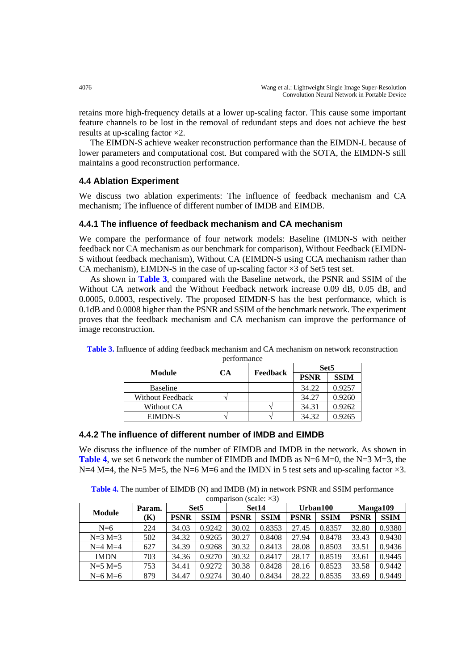retains more high-frequency details at a lower up-scaling factor. This cause some important feature channels to be lost in the removal of redundant steps and does not achieve the best results at up-scaling factor ×2.

The EIMDN-S achieve weaker reconstruction performance than the EIMDN-L because of lower parameters and computational cost. But compared with the SOTA, the EIMDN-S still maintains a good reconstruction performance.

## **4.4 Ablation Experiment**

We discuss two ablation experiments: The influence of feedback mechanism and CA mechanism; The influence of different number of IMDB and EIMDB.

## **4.4.1 The influence of feedback mechanism and CA mechanism**

We compare the performance of four network models: Baseline (IMDN-S with neither feedback nor CA mechanism as our benchmark for comparison), Without Feedback (EIMDN-S without feedback mechanism), Without CA (EIMDN-S using CCA mechanism rather than CA mechanism), EIMDN-S in the case of up-scaling factor  $\times$ 3 of Set5 test set.

As shown in **Table 3**, compared with the Baseline network, the PSNR and SSIM of the Without CA network and the Without Feedback network increase 0.09 dB, 0.05 dB, and 0.0005, 0.0003, respectively. The proposed EIMDN-S has the best performance, which is 0.1dB and 0.0008 higher than the PSNR and SSIM of the benchmark network. The experiment proves that the feedback mechanism and CA mechanism can improve the performance of image reconstruction.

|                         | <b>CA</b> |          | Set <sub>5</sub> |             |
|-------------------------|-----------|----------|------------------|-------------|
| Module                  |           | Feedback | <b>PSNR</b>      | <b>SSIM</b> |
| <b>Baseline</b>         |           |          | 34.22            | 0.9257      |
| <b>Without Feedback</b> |           |          | 34.27            | 0.9260      |
| Without CA              |           |          | 34.31            | 0.9262      |
| <b>EIMDN-S</b>          |           |          | 34.32            | 0.9265      |

**Table 3.** Influence of adding feedback mechanism and CA mechanism on network reconstruction performance

## **4.4.2 The influence of different number of IMDB and EIMDB**

We discuss the influence of the number of EIMDB and IMDB in the network. As shown in **Table 4**, we set 6 network the number of EIMDB and IMDB as  $N=6$  M=0, the  $N=3$  M=3, the N=4 M=4, the N=5 M=5, the N=6 M=6 and the IMDN in 5 test sets and up-scaling factor  $\times$ 3.

**Table 4.** The number of EIMDB (N) and IMDB (M) in network PSNR and SSIM performance  $commuricon (scale \times 3)$ 

| <b>Module</b> | Param. | Set <sub>5</sub> |             | Set14       |             | Urban100    |             | Manga109    |             |
|---------------|--------|------------------|-------------|-------------|-------------|-------------|-------------|-------------|-------------|
|               | (K)    | <b>PSNR</b>      | <b>SSIM</b> | <b>PSNR</b> | <b>SSIM</b> | <b>PSNR</b> | <b>SSIM</b> | <b>PSNR</b> | <b>SSIM</b> |
| $N=6$         | 224    | 34.03            | 0.9242      | 30.02       | 0.8353      | 27.45       | 0.8357      | 32.80       | 0.9380      |
| $N=3 M=3$     | 502    | 34.32            | 0.9265      | 30.27       | 0.8408      | 27.94       | 0.8478      | 33.43       | 0.9430      |
| $N=4$ $M=4$   | 627    | 34.39            | 0.9268      | 30.32       | 0.8413      | 28.08       | 0.8503      | 33.51       | 0.9436      |
| <b>IMDN</b>   | 703    | 34.36            | 0.9270      | 30.32       | 0.8417      | 28.17       | 0.8519      | 33.61       | 0.9445      |
| $N=5$ $M=5$   | 753    | 34.41            | 0.9272      | 30.38       | 0.8428      | 28.16       | 0.8523      | 33.58       | 0.9442      |
| $N=6 M=6$     | 879    | 34.47            | 0.9274      | 30.40       | 0.8434      | 28.22       | 0.8535      | 33.69       | 0.9449      |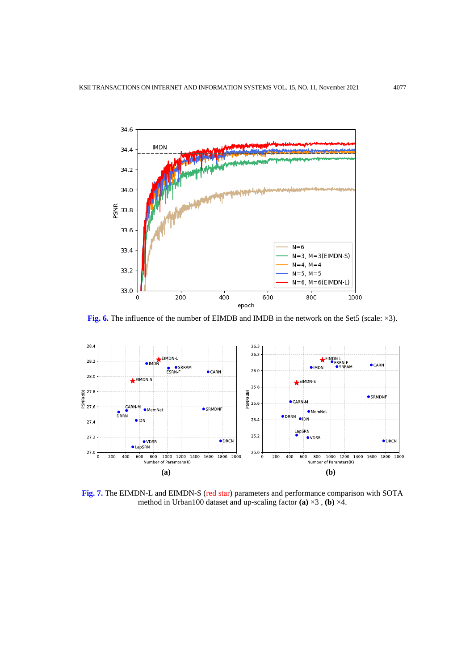

**Fig. 6.** The influence of the number of EIMDB and IMDB in the network on the Set5 (scale: ×3).



**Fig. 7.** The EIMDN-L and EIMDN-S (red star) parameters and performance comparison with SOTA method in Urban100 dataset and up-scaling factor **(a)** ×3 , **(b)** ×4.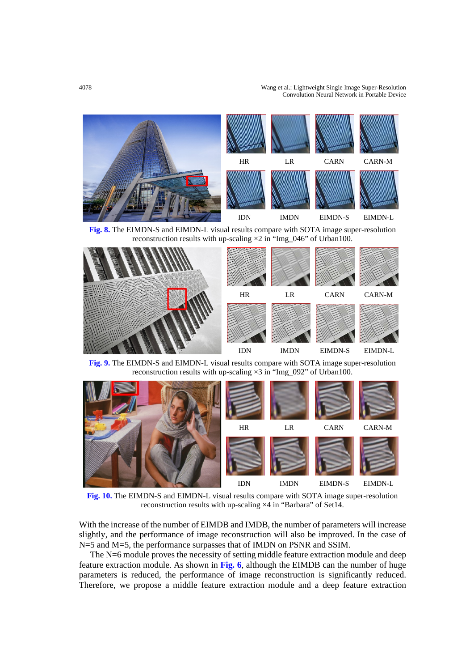#### 4078 Wang et al.: Lightweight Single Image Super-Resolution Convolution Neural Network in Portable Device



**Fig. 8.** The EIMDN-S and EIMDN-L visual results compare with SOTA image super-resolution reconstruction results with up-scaling  $\times 2$  in "Img\_046" of Urban100.



**Fig. 9.** The EIMDN-S and EIMDN-L visual results compare with SOTA image super-resolution reconstruction results with up-scaling  $\times 3$  in "Img\_092" of Urban100.



**Fig. 10.** The EIMDN-S and EIMDN-L visual results compare with SOTA image super-resolution reconstruction results with up-scaling ×4 in "Barbara" of Set14.

With the increase of the number of EIMDB and IMDB, the number of parameters will increase slightly, and the performance of image reconstruction will also be improved. In the case of N=5 and M=5, the performance surpasses that of IMDN on PSNR and SSIM.

The N=6 module proves the necessity of setting middle feature extraction module and deep feature extraction module. As shown in **Fig. 6**, although the EIMDB can the number of huge parameters is reduced, the performance of image reconstruction is significantly reduced. Therefore, we propose a middle feature extraction module and a deep feature extraction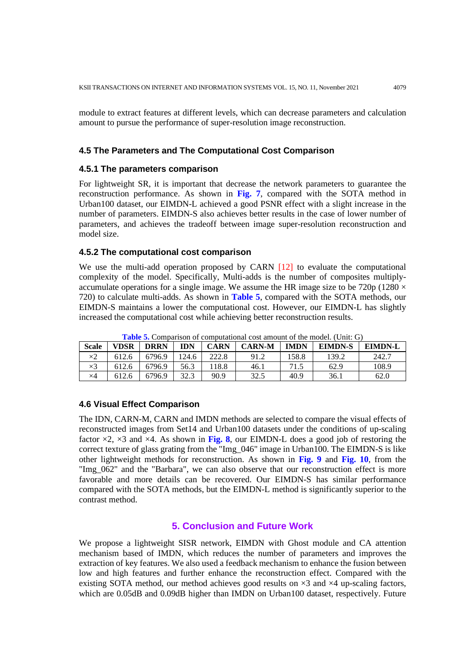module to extract features at different levels, which can decrease parameters and calculation amount to pursue the performance of super-resolution image reconstruction.

## **4.5 The Parameters and The Computational Cost Comparison**

#### **4.5.1 The parameters comparison**

For lightweight SR, it is important that decrease the network parameters to guarantee the reconstruction performance. As shown in **Fig. 7**, compared with the SOTA method in Urban100 dataset, our EIMDN-L achieved a good PSNR effect with a slight increase in the number of parameters. EIMDN-S also achieves better results in the case of lower number of parameters, and achieves the tradeoff between image super-resolution reconstruction and model size.

## **4.5.2 The computational cost comparison**

We use the multi-add operation proposed by CARN [12] to evaluate the computational complexity of the model. Specifically, Multi-adds is the number of composites multiplyaccumulate operations for a single image. We assume the HR image size to be 720p (1280  $\times$ 720) to calculate multi-adds. As shown in **Table 5**, compared with the SOTA methods, our EIMDN-S maintains a lower the computational cost. However, our EIMDN-L has slightly increased the computational cost while achieving better reconstruction results.

| <b>Scale</b> | <b>VDSR</b> | <b>DRRN</b> | <b>IDN</b>  | <b>CARN</b> | <b>CARN-M</b> | <b>IMDN</b> | <b>EIMDN-S</b> | <b>EIMDN-L</b> |
|--------------|-------------|-------------|-------------|-------------|---------------|-------------|----------------|----------------|
| $\times 2$   | 612.6       | 6796.9      | 124.6       | 222.8       |               | 58.8        | 139.2          | 242.7          |
| $\times 3$   | 612.6       | 6796.9      | 56.3        | 18.8        | 46.1          | 71.5        | 62.9           | 108.9          |
| $\times 4$   | 612.6       | 6796.9      | 373<br>ل…∠ر | 90.9        | 32.5          | 40.9        | 36.1           | 62.0           |

**Table 5.** Comparison of computational cost amount of the model. (Unit: G)

## **4.6 Visual Effect Comparison**

The IDN, CARN-M, CARN and IMDN methods are selected to compare the visual effects of reconstructed images from Set14 and Urban100 datasets under the conditions of up-scaling factor  $\times$ 2,  $\times$ 3 and  $\times$ 4. As shown in **Fig. 8**, our EIMDN-L does a good job of restoring the correct texture of glass grating from the "Img\_046" image in Urban100. The EIMDN-S is like other lightweight methods for reconstruction. As shown in **Fig. 9** and **Fig. 10**, from the "Img\_062" and the "Barbara", we can also observe that our reconstruction effect is more favorable and more details can be recovered. Our EIMDN-S has similar performance compared with the SOTA methods, but the EIMDN-L method is significantly superior to the contrast method.

## **5. Conclusion and Future Work**

We propose a lightweight SISR network, EIMDN with Ghost module and CA attention mechanism based of IMDN, which reduces the number of parameters and improves the extraction of key features. We also used a feedback mechanism to enhance the fusion between low and high features and further enhance the reconstruction effect. Compared with the existing SOTA method, our method achieves good results on  $\times$ 3 and  $\times$ 4 up-scaling factors, which are 0.05dB and 0.09dB higher than IMDN on Urban100 dataset, respectively. Future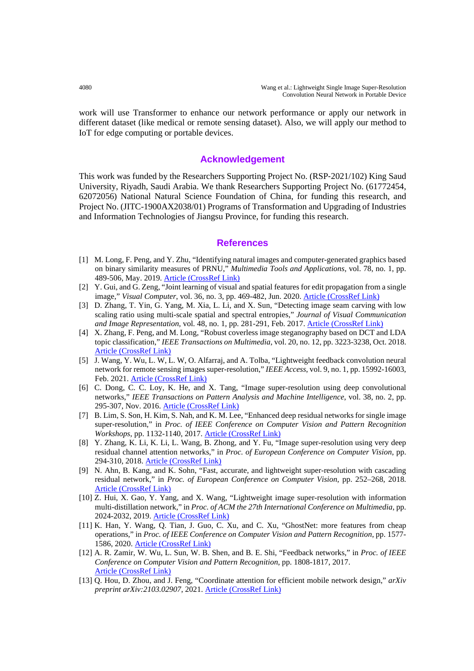work will use Transformer to enhance our network performance or apply our network in different dataset (like medical or remote sensing dataset). Also, we will apply our method to IoT for edge computing or portable devices.

## **Acknowledgement**

This work was funded by the Researchers Supporting Project No. (RSP‐2021/102) King Saud University, Riyadh, Saudi Arabia. We thank Researchers Supporting Project No. (61772454, 62072056) National Natural Science Foundation of China, for funding this research, and Project No. (JITC-1900AX2038/01) Programs of Transformation and Upgrading of Industries and Information Technologies of Jiangsu Province, for funding this research.

#### **References**

- [1] M. Long, F. Peng, and Y. Zhu, "Identifying natural images and computer-generated graphics based on binary similarity measures of PRNU," *Multimedia Tools and Applications*, vol. 78, no. 1, pp. 489-506, May. 2019. [Article \(CrossRef Link\)](https://doi.org/10.1007/s11042-017-5101-3)
- [2] Y. Gui, and G. Zeng, "Joint learning of visual and spatial features for edit propagation from a single image," *Visual Computer*, vol. 36, no. 3, pp. 469-482, Jun. 2020. [Article \(CrossRef Link\)](https://doi.org/10.1007/s00371-019-01633-6)
- [3] D. Zhang, T. Yin, G. Yang, M. Xia, L. Li, and X. Sun, "Detecting image seam carving with low scaling ratio using multi-scale spatial and spectral entropies," *Journal of Visual Communication and Image Representation*, vol. 48, no. 1, pp. 281-291, Feb. 2017. [Article \(CrossRef Link\)](https://doi.org/10.1016/j.jvcir.2017.07.006)
- [4] X. Zhang, F. Peng, and M. Long, "Robust coverless image steganography based on DCT and LDA topic classification," *IEEE Transactions on Multimedia*, vol. 20, no. 12, pp. 3223-3238, Oct. 2018. [Article \(CrossRef Link\)](https://doi.org/10.1109/TMM.2018.2838334)
- [5] J. Wang, Y. Wu, L. W, L. W, O. Alfarraj, and A. Tolba, "Lightweight feedback convolution neural network for remote sensing images super-resolution," *IEEE Access*, vol. 9, no. 1, pp. 15992-16003, Feb. 2021. [Article \(CrossRef Link\)](https://doi.org/10.1109/ACCESS.2021.3052946)
- [6] C. Dong, C. C. Loy, K. He, and X. Tang, "Image super-resolution using deep convolutional networks," *IEEE Transactions on Pattern Analysis and Machine Intelligence*, vol. 38, no. 2, pp. 295-307, Nov. 2016. [Article \(CrossRef Link\)](https://doi.org/10.1109/TPAMI.2015.2439281)
- [7] B. Lim, S. Son, H. Kim, S. Nah, and K. M. Lee, "Enhanced deep residual networks for single image super-resolution," in *Proc. of IEEE Conference on Computer Vision and Pattern Recognition Workshops*, pp. 1132-1140, 2017. [Article \(CrossRef Link\)](https://doi.org/10.1109/CVPRW.2017.151)
- [8] Y. Zhang, K. Li, K. Li, L. Wang, B. Zhong, and Y. Fu, "Image super-resolution using very deep residual channel attention networks," in *Proc. of European Conference on Computer Vision*, pp. 294-310, 2018. [Article \(CrossRef Link\)](https://openaccess.thecvf.com/content_ECCV_2018/html/Yulun_Zhang_Image_Super-Resolution_Using_ECCV_2018_paper.html)
- [9] N. Ahn, B. Kang, and K. Sohn, "Fast, accurate, and lightweight super-resolution with cascading residual network," in *Proc. of European Conference on Computer Vision*, pp. 252–268, 2018. [Article \(CrossRef Link\)](https://openaccess.thecvf.com/content_ECCV_2018/html/Namhyuk_Ahn_Fast_Accurate_and_ECCV_2018_paper.html)
- [10] Z. Hui, X. Gao, Y. Yang, and X. Wang, "Lightweight image super-resolution with information multi-distillation network," in *Proc. of ACM the 27th International Conference on Multimedia*, pp. 2024-2032, 2019. [Article \(CrossRef Link\)](https://doi.org/10.1145/3343031.3351084)
- [11] K. Han, Y. Wang, Q. Tian, J. Guo, C. Xu, and C. Xu, "GhostNet: more features from cheap operations," in *Proc. of IEEE Conference on Computer Vision and Pattern Recognition*, pp. 1577- 1586, 2020. [Article \(CrossRef Link\)](https://doi.org/10.1109/CVPR42600.2020.00165)
- [12] A. R. Zamir, W. Wu, L. Sun, W. B. Shen, and B. E. Shi, "Feedback networks," in *Proc. of IEEE Conference on Computer Vision and Pattern Recognition*, pp. 1808-1817, 2017. [Article \(CrossRef Link\)](https://doi.org/10.1109/CVPR.2017.196)
- [13] Q. Hou, D. Zhou, and J. Feng, "Coordinate attention for efficient mobile network design," *arXiv preprint arXiv:2103.02907*, 2021. [Article \(CrossRef Link\)](https://arxiv.org/abs/2103.02907)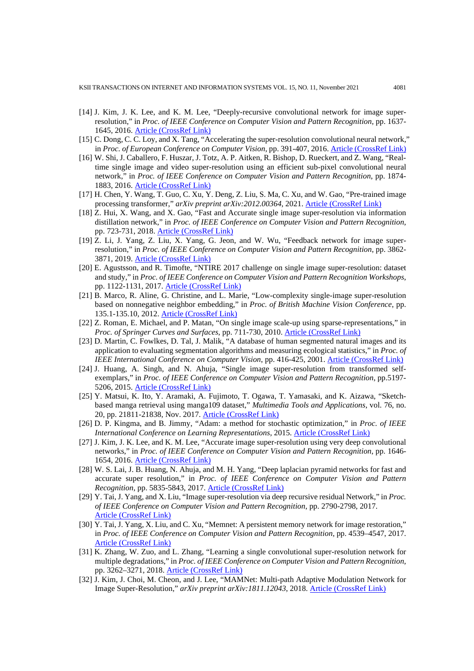KSII TRANSACTIONS ON INTERNET AND INFORMATION SYSTEMS VOL. 15, NO. 11, November 2021 4081

- [14] J. Kim, J. K. Lee, and K. M. Lee, "Deeply-recursive convolutional network for image superresolution," in *Proc. of IEEE Conference on Computer Vision and Pattern Recognition*, pp. 1637- 1645, 2016. [Article \(CrossRef Link\)](https://doi.org/10.1109/CVPR.2016.181)
- [15] C. Dong, C. C. Loy, and X. Tang, "Accelerating the super-resolution convolutional neural network," in *Proc. of European Conference on Computer Vision*, pp. 391-407, 2016. [Article \(CrossRef Link\)](https://doi.org/10.1007/978-3-319-46475-6_25)
- [16] W. Shi, J. Caballero, F. Huszar, J. Totz, A. P. Aitken, R. Bishop, D. Rueckert, and Z. Wang, "Realtime single image and video super-resolution using an efficient sub-pixel convolutional neural network," in *Proc. of IEEE Conference on Computer Vision and Pattern Recognition*, pp. 1874- 1883, 2016. [Article \(CrossRef Link\)](https://doi.org/10.1109/CVPR.2016.207)
- [17] H. Chen, Y. Wang, T. Guo, C. Xu, Y. Deng, Z. Liu, S. Ma, C. Xu, and W. Gao, "Pre-trained image processing transformer," *arXiv preprint arXiv:2012.00364*, 2021. [Article \(CrossRef Link\)](https://arxiv.org/abs/2012.00364)
- [18] Z. Hui, X. Wang, and X. Gao, "Fast and Accurate single image super-resolution via information distillation network," in *Proc. of IEEE Conference on Computer Vision and Pattern Recognition*, pp. 723-731, 2018. [Article \(CrossRef Link\)](http://doi.org/10.1109/CVPR.2018.00082)
- [19] Z. Li, J. Yang, Z. Liu, X. Yang, G. Jeon, and W. Wu, "Feedback network for image superresolution," in *Proc. of IEEE Conference on Computer Vision and Pattern Recognition*, pp. 3862- 3871, 2019. [Article \(CrossRef Link\)](http://doi.org/10.1109/CVPR.2019.00399)
- [20] E. Agustsson, and R. Timofte, "NTIRE 2017 challenge on single image super-resolution: dataset and study," in *Proc. of IEEE Conference on Computer Vision and Pattern Recognition Workshops*, pp. 1122-1131, 2017. [Article \(CrossRef Link\)](https://doi.org/10.1109/CVPRW.2017.150)
- [21] B. Marco, R. Aline, G. Christine, and L. Marie, "Low-complexity single-image super-resolution based on nonnegative neighbor embedding," in *Proc. of British Machine Vision Conference*, pp. 135.1-135.10, 2012. [Article \(CrossRef Link\)](https://doi.org/10.5244/C.26.135)
- [22] Z. Roman, E. Michael, and P. Matan, "On single image scale-up using sparse-representations," in *Proc. of Springer Curves and Surfaces*, pp. 711-730, 2010. [Article \(CrossRef Link\)](https://doi.org/10.1007/978-3-642-27413-8_47)
- [23] D. Martin, C. Fowlkes, D. Tal, J. Malik, "A database of human segmented natural images and its application to evaluating segmentation algorithms and measuring ecological statistics," in *Proc. of IEEE International Conference on Computer Vision*, pp. 416-425, 2001. [Article \(CrossRef Link\)](https://doi.org/10.1109/ICCV.2001.937655)
- [24] J. Huang, A. Singh, and N. Ahuja, "Single image super-resolution from transformed selfexemplars," in *Proc. of IEEE Conference on Computer Vision and Pattern Recognition*, pp.5197- 5206, 2015. [Article \(CrossRef Link\)](https://doi.org/10.1109/CVPR.2015.7299156)
- [25] Y. Matsui, K. Ito, Y. Aramaki, A. Fujimoto, T. Ogawa, T. Yamasaki, and K. Aizawa, "Sketchbased manga retrieval using manga109 dataset," *Multimedia Tools and Applications*, vol. 76, no. 20, pp. 21811-21838, Nov. 2017. [Article \(CrossRef Link\)](https://doi.org/10.1007/s11042-016-4020-z)
- [26] D. P. Kingma, and B. Jimmy, "Adam: a method for stochastic optimization," in *Proc. of IEEE International Conference on Learning Representations*, 2015. [Article \(CrossRef Link\)](http://arxiv.org/abs/1412.6980)
- [27] J. Kim, J. K. Lee, and K. M. Lee, "Accurate image super-resolution using very deep convolutional networks," in *Proc. of IEEE Conference on Computer Vision and Pattern Recognition*, pp. 1646- 1654, 2016. [Article \(CrossRef Link\)](https://doi.org/10.1109/CVPR.2016.182)
- [28] W. S. Lai, J. B. Huang, N. Ahuja, and M. H. Yang, "Deep laplacian pyramid networks for fast and accurate super resolution," in *Proc. of IEEE Conference on Computer Vision and Pattern Recognition*, pp. 5835-5843, 2017. [Article \(CrossRef Link\)](https://doi.org/10.1109/CVPR.2017.618)
- [29] Y. Tai, J. Yang, and X. Liu, "Image super-resolution via deep recursive residual Network," in *Proc. of IEEE Conference on Computer Vision and Pattern Recognition*, pp. 2790-2798, 2017. [Article \(CrossRef Link\)](https://doi.org/10.1109/CVPR.2017.298)
- [30] Y. Tai, J. Yang, X. Liu, and C. Xu, "Memnet: A persistent memory network for image restoration," in *Proc. of IEEE Conference on Computer Vision and Pattern Recognition*, pp. 4539–4547, 2017. [Article \(CrossRef Link\)](https://doi.org/10.1109/ICCV.2017.486)
- [31] K. Zhang, W. Zuo, and L. Zhang, "Learning a single convolutional super-resolution network for multiple degradations," in *Proc. of IEEE Conference on Computer Vision and Pattern Recognition*, pp. 3262–3271, 2018. [Article \(CrossRef Link\)](https://doi.org/10.1109/CVPR.2018.00344)
- [32] J. Kim, J. Choi, M. Cheon, and J. Lee, "MAMNet: Multi-path Adaptive Modulation Network for Image Super-Resolution," *arXiv preprint arXiv:1811.12043*, 2018. [Article \(CrossRef Link\)](http://arxiv.org/abs/1811.12043)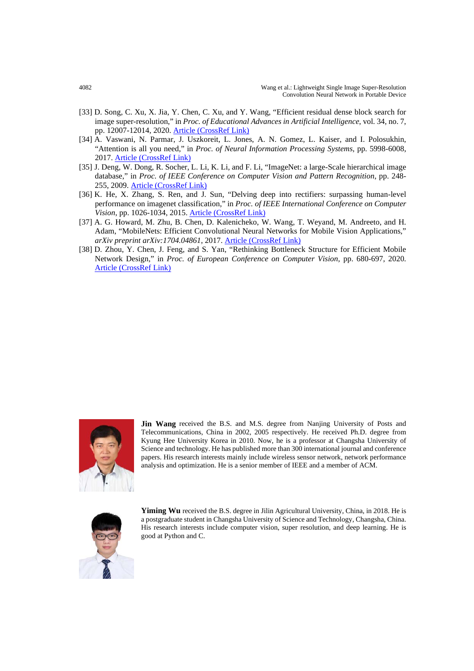- [33] D. Song, C. Xu, X. Jia, Y. Chen, C. Xu, and Y. Wang, "Efficient residual dense block search for image super-resolution," in *Proc. of Educational Advances in Artificial Intelligence*, vol. 34, no. 7, pp. 12007-12014, 2020. [Article \(CrossRef Link\)](https://aaai.org/ojs/index.php/AAAI/article/view/6877)
- [34] A. Vaswani, N. Parmar, J. Uszkoreit, L. Jones, A. N. Gomez, L. Kaiser, and I. Polosukhin, "Attention is all you need," in *Proc. of Neural Information Processing Systems*, pp. 5998-6008, 2017. [Article \(CrossRef Link\)](https://proceedings.neurips.cc/paper/2017/hash/3f5ee243547dee91fbd053c1c4a845aa-Abstract.html)
- [35] J. Deng, W. Dong, R. Socher, L. Li, K. Li, and F. Li, "ImageNet: a large-Scale hierarchical image database," in *Proc. of IEEE Conference on Computer Vision and Pattern Recognition*, pp. 248- 255, 2009. [Article \(CrossRef Link\)](https://doi.org/10.1109/CVPR.2009.5206848)
- [36] K. He, X. Zhang, S. Ren, and J. Sun, "Delving deep into rectifiers: surpassing human-level performance on imagenet classification," in *Proc. of IEEE International Conference on Computer Vision*, pp. 1026-1034, 2015. [Article \(CrossRef Link\)](https://doi.org/10.1109/ICCV.2015.123)
- [37] A. G. Howard, M. Zhu, B. Chen, D. Kalenicheko, W. Wang, T. Weyand, M. Andreeto, and H. Adam, "MobileNets: Efficient Convolutional Neural Networks for Mobile Vision Applications," *arXiv preprint arXiv:1704.04861*, 2017. [Article \(CrossRef Link\)](http://arxiv.org/abs/1704.04861)
- [38] D. Zhou, Y. Chen, J. Feng, and S. Yan, "Rethinking Bottleneck Structure for Efficient Mobile Network Design," in *Proc. of European Conference on Computer Vision*, pp. 680-697, 2020. [Article \(CrossRef Link\)](https://doi.org/10.1007/978-3-030-58580-8_40)



**Jin Wang** received the B.S. and M.S. degree from Nanjing University of Posts and Telecommunications, China in 2002, 2005 respectively. He received Ph.D. degree from Kyung Hee University Korea in 2010. Now, he is a professor at Changsha University of Science and technology. He has published more than 300 international journal and conference papers. His research interests mainly include wireless sensor network, network performance analysis and optimization. He is a senior member of IEEE and a member of ACM.



Yiming Wu received the B.S. degree in Jilin Agricultural University, China, in 2018. He is a postgraduate student in Changsha University of Science and Technology, Changsha, China. His research interests include computer vision, super resolution, and deep learning. He is good at Python and C.